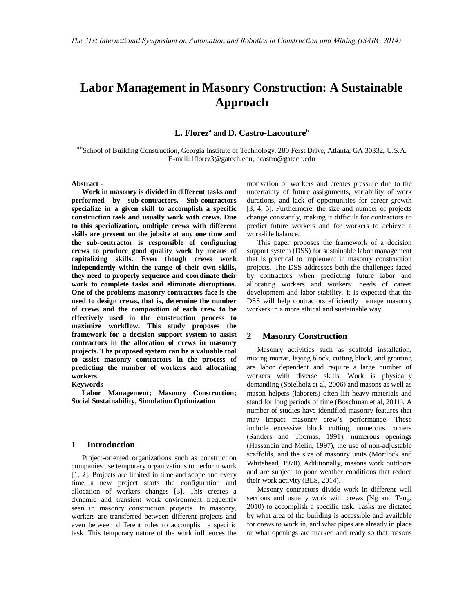# **Labor Management in Masonry Construction: A Sustainable Approach**

**L. Florez<sup>a</sup> and D. Castro-Lacouture<sup>b</sup>**

*a,b*School of Building Construction, Georgia Institute of Technology, 280 Ferst Drive, Atlanta, GA 30332, U.S.A. E-mail: lflorez3@gatech.edu, dcastro@gatech.edu

**Abstract -**

**Work in masonry is divided in different tasks and performed by sub-contractors. Sub-contractors specialize in a given skill to accomplish a specific construction task and usually work with crews. Due to this specialization, multiple crews with different skills are present on the jobsite at any one time and the sub-contractor is responsible of configuring crews to produce good quality work by means of capitalizing skills. Even though crews work independently within the range of their own skills, they need to properly sequence and coordinate their work to complete tasks and eliminate disruptions. One of the problems masonry contractors face is the need to design crews, that is, determine the number of crews and the composition of each crew to be effectively used in the construction process to maximize workflow. This study proposes the framework for a decision support system to assist contractors in the allocation of crews in masonry projects. The proposed system can be a valuable tool to assist masonry contractors in the process of predicting the number of workers and allocating workers.**

**Keywords -**

**Labor Management; Masonry Construction; Social Sustainability, Simulation Optimization**

# **1 Introduction**

Project-oriented organizations such as construction companies use temporary organizations to perform work [1, 2]. Projects are limited in time and scope and every time a new project starts the configuration and allocation of workers changes [3]. This creates a dynamic and transient work environment frequently seen in masonry construction projects. In masonry, workers are transferred between different projects and even between different roles to accomplish a specific task. This temporary nature of the work influences the motivation of workers and creates pressure due to the uncertainty of future assignments, variability of work durations, and lack of opportunities for career growth [3, 4, 5]. Furthermore, the size and number of projects change constantly, making it difficult for contractors to predict future workers and for workers to achieve a work-life balance.

This paper proposes the framework of a decision support system (DSS) for sustainable labor management that is practical to implement in masonry construction projects. The DSS addresses both the challenges faced by contractors when predicting future labor and allocating workers and workers' needs of career development and labor stability. It is expected that the DSS will help contractors efficiently manage masonry workers in a more ethical and sustainable way.

## **2 Masonry Construction**

Masonry activities such as scaffold installation, mixing mortar, laying block, cutting block, and grouting are labor dependent and require a large number of workers with diverse skills. Work is physically demanding (Spielholz et al, 2006) and masons as well as mason helpers (laborers) often lift heavy materials and stand for long periods of time (Boschman et al, 2011). A number of studies have identified masonry features that may impact masonry crew's performance. These include excessive block cutting, numerous corners (Sanders and Thomas, 1991), numerous openings (Hassanein and Melin, 1997), the use of non-adjustable scaffolds, and the size of masonry units (Mortlock and Whitehead, 1970). Additionally, masons work outdoors and are subject to poor weather conditions that reduce their work activity (BLS, 2014).

Masonry contractors divide work in different wall sections and usually work with crews (Ng and Tang, 2010) to accomplish a specific task. Tasks are dictated by what area of the building is accessible and available for crews to work in, and what pipes are already in place or what openings are marked and ready so that masons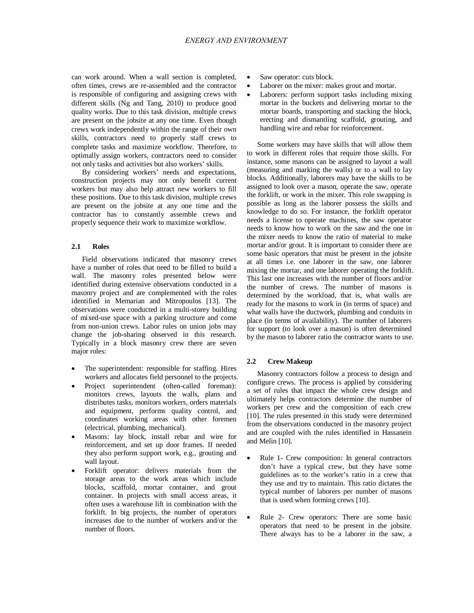can work around. When a wall section is completed, often times, crews are re-assembled and the contractor is responsible of configuring and assigning crews with different skills (Ng and Tang, 2010) to produce good quality works. Due to this task division, multiple crews are present on the jobsite at any one time. Even though crews work independently within the range of their own skills, contractors need to properly staff crews to complete tasks and maximize workflow. Therefore, to optimally assign workers, contractors need to consider not only tasks and activities but also workers' skills.

By considering workers' needs and expectations, construction projects may not only benefit current workers but may also help attract new workers to fill these positions. Due to this task division, multiple crews are present on the jobsite at any one time and the contractor has to constantly assemble crews and properly sequence their work to maximize workflow.

## **2.1 Roles**

Field observations indicated that masonry crews have a number of roles that need to be filled to build a wall. The masonry roles presented below were identified during extensive observations conducted in a masonry project and are complemented with the roles identified in Memarian and Mitropoulos [13]. The observations were conducted in a multi-storey building of mixed-use space with a parking structure and come from non-union crews. Labor rules on union jobs may change the job-sharing observed in this research. Typically in a block masonry crew there are seven major roles:

- The superintendent: responsible for staffing. Hires workers and allocates field personnel to the projects.
- Project superintendent (often-called foreman): monitors crews, layouts the walls, plans and distributes tasks, monitors workers, orders materials and equipment, performs quality control, and coordinates working areas with other foremen (electrical, plumbing, mechanical).
- Masons: lay block, install rebar and wire for reinforcement, and set up door frames. If needed they also perform support work, e.g., grouting and wall layout.
- Forklift operator: delivers materials from the storage areas to the work areas which include blocks, scaffold, mortar container, and grout container. In projects with small access areas, it often uses a warehouse lift in combination with the forklift. In big projects, the number of operators increases due to the number of workers and/or the number of floors.
- Saw operator: cuts block.
- Laborer on the mixer: makes grout and mortar.
- Laborers: perform support tasks including mixing mortar in the buckets and delivering mortar to the mortar boards, transporting and stacking the block, erecting and dismantling scaffold, grouting, and handling wire and rebar for reinforcement.

Some workers may have skills that will allow them to work in different roles that require those skills. For instance, some masons can be assigned to layout a wall (measuring and marking the walls) or to a wall to lay blocks. Additionally, laborers may have the skills to be assigned to look over a mason, operate the saw, operate the forklift, or work in the mixer. This role swapping is possible as long as the laborer possess the skills and knowledge to do so. For instance, the forklift operator needs a license to operate machines, the saw operator needs to know how to work on the saw and the one in the mixer needs to know the ratio of material to make mortar and/or grout. It is important to consider there are some basic operators that must be present in the jobsite at all times i.e. one laborer in the saw, one laborer mixing the mortar, and one laborer operating the forklift. This last one increases with the number of floors and/or the number of crews. The number of masons is determined by the workload, that is, what walls are ready for the masons to work in (in terms of space) and what walls have the ductwork, plumbing and conduits in place (in terms of availability). The number of laborers for support (to look over a mason) is often determined by the mason to laborer ratio the contractor wants to use.

## **2.2 Crew Makeup**

Masonry contractors follow a process to design and configure crews. The process is applied by considering a set of rules that impact the whole crew design and ultimately helps contractors determine the number of workers per crew and the composition of each crew [10]. The rules presented in this study were determined from the observations conducted in the masonry project and are coupled with the rules identified in Hassanein and Melin [10].

- Rule 1- Crew composition: In general contractors don't have a typical crew, but they have some guidelines as to the worker's ratio in a crew that they use and try to maintain. This ratio dictates the typical number of laborers per number of masons that is used when forming crews [10].
- Rule 2- Crew operators: There are some basic operators that need to be present in the jobsite. There always has to be a laborer in the saw, a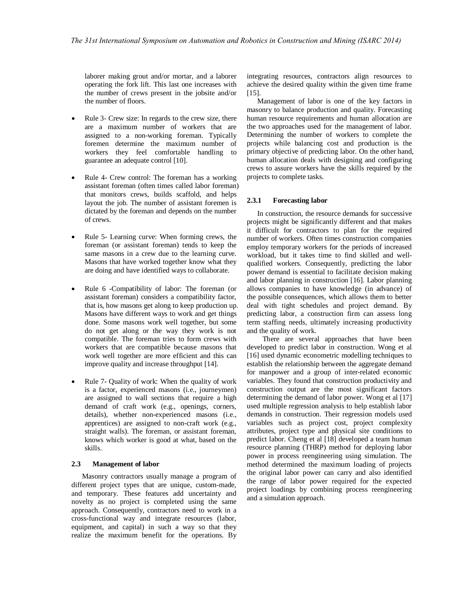laborer making grout and/or mortar, and a laborer operating the fork lift. This last one increases with the number of crews present in the jobsite and/or the number of floors.

- Rule 3- Crew size: In regards to the crew size, there are a maximum number of workers that are assigned to a non-working foreman. Typically foremen determine the maximum number of workers they feel comfortable handling to guarantee an adequate control [10].
- Rule 4- Crew control: The foreman has a working assistant foreman (often times called labor foreman) that monitors crews, builds scaffold, and helps layout the job. The number of assistant foremen is dictated by the foreman and depends on the number of crews.
- Rule 5- Learning curve: When forming crews, the foreman (or assistant foreman) tends to keep the same masons in a crew due to the learning curve. Masons that have worked together know what they are doing and have identified ways to collaborate.
- Rule 6 -Compatibility of labor: The foreman (or assistant foreman) considers a compatibility factor, that is, how masons get along to keep production up. Masons have different ways to work and get things done. Some masons work well together, but some do not get along or the way they work is not compatible. The foreman tries to form crews with workers that are compatible because masons that work well together are more efficient and this can improve quality and increase throughput [14].
- Rule 7- Quality of work: When the quality of work is a factor, experienced masons (i.e., journeymen) are assigned to wall sections that require a high demand of craft work (e.g., openings, corners, details), whether non-experienced masons (i.e., apprentices) are assigned to non-craft work (e.g., straight walls). The foreman, or assistant foreman, knows which worker is good at what, based on the skills.

#### **2.3 Management of labor**

Masonry contractors usually manage a program of different project types that are unique, custom-made, and temporary. These features add uncertainty and novelty as no project is completed using the same approach. Consequently, contractors need to work in a cross-functional way and integrate resources (labor, equipment, and capital) in such a way so that they realize the maximum benefit for the operations. By integrating resources, contractors align resources to achieve the desired quality within the given time frame [15].

Management of labor is one of the key factors in masonry to balance production and quality. Forecasting human resource requirements and human allocation are the two approaches used for the management of labor. Determining the number of workers to complete the projects while balancing cost and production is the primary objective of predicting labor. On the other hand, human allocation deals with designing and configuring crews to assure workers have the skills required by the projects to complete tasks.

## **2.3.1 Forecasting labor**

In construction, the resource demands for successive projects might be significantly different and that makes it difficult for contractors to plan for the required number of workers. Often times construction companies employ temporary workers for the periods of increased workload, but it takes time to find skilled and wellqualified workers. Consequently, predicting the labor power demand is essential to facilitate decision making and labor planning in construction [16]. Labor planning allows companies to have knowledge (in advance) of the possible consequences, which allows them to better deal with tight schedules and project demand. By predicting labor, a construction firm can assess long term staffing needs, ultimately increasing productivity and the quality of work.

There are several approaches that have been developed to predict labor in construction. Wong et al [16] used dynamic econometric modelling techniques to establish the relationship between the aggregate demand for manpower and a group of inter-related economic variables. They found that construction productivity and construction output are the most significant factors determining the demand of labor power. Wong et al [17] used multiple regression analysis to help establish labor demands in construction. Their regression models used variables such as project cost, project complexity attributes, project type and physical site conditions to predict labor. Cheng et al [18] developed a team human resource planning (THRP) method for deploying labor power in process reengineering using simulation. The method determined the maximum loading of projects the original labor power can carry and also identified the range of labor power required for the expected project loadings by combining process reengineering and a simulation approach.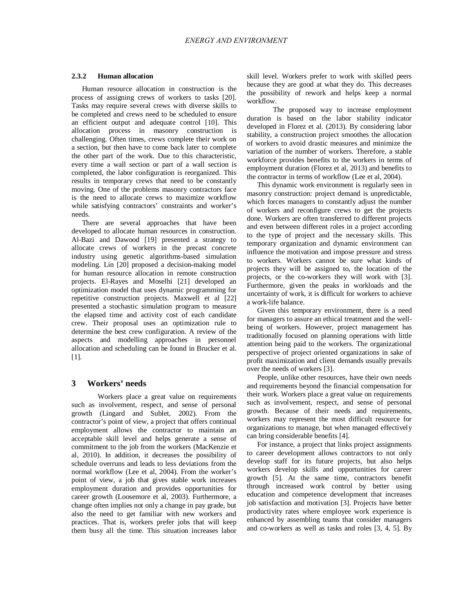## **2.3.2 Human allocation**

Human resource allocation in construction is the process of assigning crews of workers to tasks [20]. Tasks may require several crews with diverse skills to be completed and crews need to be scheduled to ensure an efficient output and adequate control [10]. This allocation process in masonry construction is challenging. Often times, crews complete their work on a section, but then have to come back later to complete the other part of the work. Due to this characteristic, every time a wall section or part of a wall section is completed, the labor configuration is reorganized. This results in temporary crews that need to be constantly moving. One of the problems masonry contractors face is the need to allocate crews to maximize workflow while satisfying contractors' constraints and worker's needs.

There are several approaches that have been developed to allocate human resources in construction. Al-Bazi and Dawood [19] presented a strategy to allocate crews of workers in the precast concrete industry using genetic algorithms-based simulation modeling. Lin [20] proposed a decision-making model for human resource allocation in remote construction projects. El-Rayes and Moselhi [21] developed an optimization model that uses dynamic programming for repetitive construction projects. Maxwell et al [22] presented a stochastic simulation program to measure the elapsed time and activity cost of each candidate crew. Their proposal uses an optimization rule to determine the best crew configuration. A review of the aspects and modelling approaches in personnel allocation and scheduling can be found in Brucker et al. [1].

# **3 Workers' needs**

Workers place a great value on requirements such as involvement, respect, and sense of personal growth (Lingard and Sublet, 2002). From the contractor's point of view, a project that offers continual employment allows the contractor to maintain an acceptable skill level and helps generate a sense of commitment to the job from the workers (MacKenzie et al, 2010). In addition, it decreases the possibility of schedule overruns and leads to less deviations from the normal workflow (Lee et al, 2004). From the worker's point of view, a job that gives stable work increases employment duration and provides opportunities for career growth (Loosemore et al, 2003). Furthermore, a change often implies not only a change in pay grade, but also the need to get familiar with new workers and practices. That is, workers prefer jobs that will keep them busy all the time. This situation increases labor skill level. Workers prefer to work with skilled peers because they are good at what they do. This decreases the possibility of rework and helps keep a normal workflow.

The proposed way to increase employment duration is based on the labor stability indicator developed in Florez et al. (2013). By considering labor stability, a construction project smoothes the allocation of workers to avoid drastic measures and minimize the variation of the number of workers. Therefore, a stable workforce provides benefits to the workers in terms of employment duration (Florez et al, 2013) and benefits to the contractor in terms of workflow (Lee et al, 2004).

This dynamic work environment is regularly seen in masonry construction: project demand is unpredictable, which forces managers to constantly adjust the number of workers and reconfigure crews to get the projects done. Workers are often transferred to different projects and even between different roles in a project according to the type of project and the necessary skills. This temporary organization and dynamic environment can influence the motivation and impose pressure and stress to workers. Workers cannot be sure what kinds of projects they will be assigned to, the location of the projects, or the co-workers they will work with [3]. Furthermore, given the peaks in workloads and the uncertainty of work, it is difficult for workers to achieve a work-life balance.

Given this temporary environment, there is a need for managers to assure an ethical treatment and the wellbeing of workers. However, project management has traditionally focused on planning operations with little attention being paid to the workers. The organizational perspective of project oriented organizations in sake of profit maximization and client demands usually prevails over the needs of workers [3].

People, unlike other resources, have their own needs and requirements beyond the financial compensation for their work. Workers place a great value on requirements such as involvement, respect, and sense of personal growth. Because of their needs and requirements, workers may represent the most difficult resource for organizations to manage, but when managed effectively can bring considerable benefits [4].

For instance, a project that links project assignments to career development allows contractors to not only develop staff for its future projects, but also helps workers develop skills and opportunities for career growth [5]. At the same time, contractors benefit through increased work control by better using education and competence development that increases job satisfaction and motivation [3]. Projects have better productivity rates where employee work experience is enhanced by assembling teams that consider managers and co-workers as well as tasks and roles [3, 4, 5]. By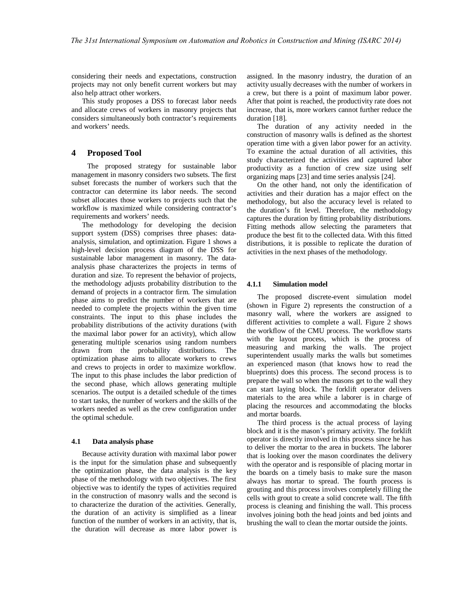considering their needs and expectations, construction projects may not only benefit current workers but may also help attract other workers.

This study proposes a DSS to forecast labor needs and allocate crews of workers in masonry projects that considers simultaneously both contractor's requirements and workers' needs.

## **4 Proposed Tool**

The proposed strategy for sustainable labor management in masonry considers two subsets. The first subset forecasts the number of workers such that the contractor can determine its labor needs. The second subset allocates those workers to projects such that the workflow is maximized while considering contractor's requirements and workers' needs.

The methodology for developing the decision support system (DSS) comprises three phases: dataanalysis, simulation, and optimization. Figure 1 shows a high-level decision process diagram of the DSS for sustainable labor management in masonry. The dataanalysis phase characterizes the projects in terms of duration and size. To represent the behavior of projects, the methodology adjusts probability distribution to the demand of projects in a contractor firm. The simulation phase aims to predict the number of workers that are needed to complete the projects within the given time constraints. The input to this phase includes the probability distributions of the activity durations (with the maximal labor power for an activity), which allow generating multiple scenarios using random numbers drawn from the probability distributions. The optimization phase aims to allocate workers to crews and crews to projects in order to maximize workflow. The input to this phase includes the labor prediction of the second phase, which allows generating multiple scenarios. The output is a detailed schedule of the times to start tasks, the number of workers and the skills of the workers needed as well as the crew configuration under the optimal schedule.

#### **4.1 Data analysis phase**

Because activity duration with maximal labor power is the input for the simulation phase and subsequently the optimization phase, the data analysis is the key phase of the methodology with two objectives. The first objective was to identify the types of activities required in the construction of masonry walls and the second is to characterize the duration of the activities. Generally, the duration of an activity is simplified as a linear function of the number of workers in an activity, that is, the duration will decrease as more labor power is assigned. In the masonry industry, the duration of an activity usually decreases with the number of workers in a crew, but there is a point of maximum labor power. After that point is reached, the productivity rate does not increase, that is, more workers cannot further reduce the duration [18].

The duration of any activity needed in the construction of masonry walls is defined as the shortest operation time with a given labor power for an activity. To examine the actual duration of all activities, this study characterized the activities and captured labor productivity as a function of crew size using self organizing maps [23] and time series analysis [24].

On the other hand, not only the identification of activities and their duration has a major effect on the methodology, but also the accuracy level is related to the duration's fit level. Therefore, the methodology captures the duration by fitting probability distributions. Fitting methods allow selecting the parameters that produce the best fit to the collected data. With this fitted distributions, it is possible to replicate the duration of activities in the next phases of the methodology.

## **4.1.1 Simulation model**

The proposed discrete-event simulation model (shown in Figure 2) represents the construction of a masonry wall, where the workers are assigned to different activities to complete a wall. Figure 2 shows the workflow of the CMU process. The workflow starts with the layout process, which is the process of measuring and marking the walls. The project superintendent usually marks the walls but sometimes an experienced mason (that knows how to read the blueprints) does this process. The second process is to prepare the wall so when the masons get to the wall they can start laying block. The forklift operator delivers materials to the area while a laborer is in charge of placing the resources and accommodating the blocks and mortar boards.

The third process is the actual process of laying block and it is the mason's primary activity. The forklift operator is directly involved in this process since he has to deliver the mortar to the area in buckets. The laborer that is looking over the mason coordinates the delivery with the operator and is responsible of placing mortar in the boards on a timely basis to make sure the mason always has mortar to spread. The fourth process is grouting and this process involves completely filling the cells with grout to create a solid concrete wall. The fifth process is cleaning and finishing the wall. This process involves joining both the head joints and bed joints and brushing the wall to clean the mortar outside the joints.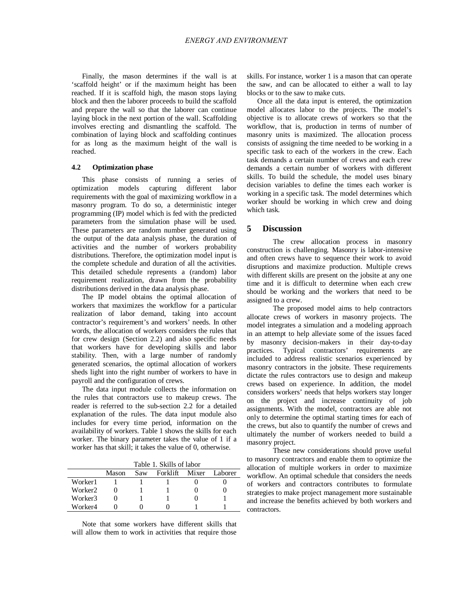Finally, the mason determines if the wall is at 'scaffold height' or if the maximum height has been reached. If it is scaffold high, the mason stops laying block and then the laborer proceeds to build the scaffold and prepare the wall so that the laborer can continue laying block in the next portion of the wall. Scaffolding involves erecting and dismantling the scaffold. The combination of laying block and scaffolding continues for as long as the maximum height of the wall is reached.

## **4.2 Optimization phase**

This phase consists of running a series of optimization models capturing different labor requirements with the goal of maximizing workflow in a masonry program. To do so, a deterministic integer programming (IP) model which is fed with the predicted parameters from the simulation phase will be used. These parameters are random number generated using the output of the data analysis phase, the duration of activities and the number of workers probability distributions. Therefore, the optimization model input is the complete schedule and duration of all the activities. This detailed schedule represents a (random) labor requirement realization, drawn from the probability distributions derived in the data analysis phase.

The IP model obtains the optimal allocation of workers that maximizes the workflow for a particular realization of labor demand, taking into account contractor's requirement's and workers' needs. In other words, the allocation of workers considers the rules that for crew design (Section 2.2) and also specific needs that workers have for developing skills and labor stability. Then, with a large number of randomly generated scenarios, the optimal allocation of workers sheds light into the right number of workers to have in payroll and the configuration of crews.

The data input module collects the information on the rules that contractors use to makeup crews. The reader is referred to the sub-section 2.2 for a detailed explanation of the rules. The data input module also includes for every time period, information on the availability of workers. Table 1 shows the skills for each worker. The binary parameter takes the value of 1 if a worker has that skill; it takes the value of 0, otherwise.

|         | Table 1. Skills of labor |     |          |       |         |
|---------|--------------------------|-----|----------|-------|---------|
|         | Mason                    | Saw | Forklift | Mixer | Laborer |
| Worker1 |                          |     |          |       |         |
| Worker2 |                          |     |          |       |         |
| Worker3 |                          |     |          |       |         |
| Worker4 |                          |     |          |       |         |

Note that some workers have different skills that will allow them to work in activities that require those skills. For instance, worker 1 is a mason that can operate the saw, and can be allocated to either a wall to lay blocks or to the saw to make cuts.

Once all the data input is entered, the optimization model allocates labor to the projects. The model's objective is to allocate crews of workers so that the workflow, that is, production in terms of number of masonry units is maximized. The allocation process consists of assigning the time needed to be working in a specific task to each of the workers in the crew. Each task demands a certain number of crews and each crew demands a certain number of workers with different skills. To build the schedule, the model uses binary decision variables to define the times each worker is working in a specific task. The model determines which worker should be working in which crew and doing which task.

## **5 Discussion**

The crew allocation process in masonry construction is challenging. Masonry is labor-intensive and often crews have to sequence their work to avoid disruptions and maximize production. Multiple crews with different skills are present on the jobsite at any one time and it is difficult to determine when each crew should be working and the workers that need to be assigned to a crew.

The proposed model aims to help contractors allocate crews of workers in masonry projects. The model integrates a simulation and a modeling approach in an attempt to help alleviate some of the issues faced by masonry decision-makers in their day-to-day practices. Typical contractors' requirements are included to address realistic scenarios experienced by masonry contractors in the jobsite. These requirements dictate the rules contractors use to design and makeup crews based on experience. In addition, the model considers workers' needs that helps workers stay longer on the project and increase continuity of job assignments. With the model, contractors are able not only to determine the optimal starting times for each of the crews, but also to quantify the number of crews and ultimately the number of workers needed to build a masonry project.

These new considerations should prove useful to masonry contractors and enable them to optimize the allocation of multiple workers in order to maximize workflow. An optimal schedule that considers the needs of workers and contractors contributes to formulate strategies to make project management more sustainable and increase the benefits achieved by both workers and contractors.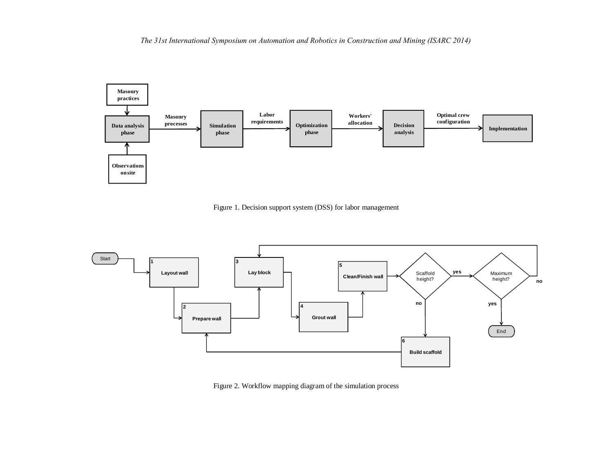*The 31st International Symposium on Automation and Robotics in Construction and Mining (ISARC 2014)*



Figure 1. Decision support system (DSS) for labor management



Figure 2. Workflow mapping diagram of the simulation process